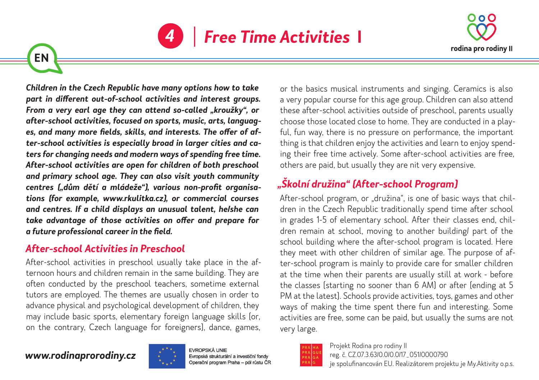



*Children in the Czech Republic have many options how to take part in different out-of-school activities and interest groups. From a very earl age they can attend so-called "kroužky", or after-school activities, focused on sports, music, arts, languages, and many more fields, skills, and interests. The offer of after-school activities is especially broad in larger cities and caters for changing needs and modern ways of spending free time. After-school activities are open for children of both preschool and primary school age. They can also visit youth community centres ("dům dětí a mládeže"), various non-profit organisations (for example, www.rkulitka.cz), or commercial courses and centres. If a child displays an unusual talent, he/she can take advantage of those activities on offer and prepare for a future professional career in the field.*

## *After-school Activities in Preschool*

After-school activities in preschool usually take place in the afternoon hours and children remain in the same building. They are often conducted by the preschool teachers, sometime external tutors are employed. The themes are usually chosen in order to advance physical and psychological development of children, they may include basic sports, elementary foreign language skills (or, on the contrary, Czech language for foreigners), dance, games,

or the basics musical instruments and singing. Ceramics is also a very popular course for this age group. Children can also attend these after-school activities outside of preschool, parents usually choose those located close to home. They are conducted in a playful, fun way, there is no pressure on performance, the important thing is that children enjoy the activities and learn to enjoy spending their free time actively. Some after-school activities are free, others are paid, but usually they are nit very expensive.

# *"Školní družina" (After-school Program)*

After-school program, or "družina", is one of basic ways that children in the Czech Republic traditionally spend time after school in grades 1-5 of elementary school. After their classes end, children remain at school, moving to another building/ part of the school building where the after-school program is located. Here they meet with other children of similar age. The purpose of after-school program is mainly to provide care for smaller children at the time when their parents are usually still at work - before the classes (starting no sooner than 6 AM) or after (ending at 5 PM at the latest). Schools provide activities, toys, games and other ways of making the time spent there fun and interesting. Some activities are free, some can be paid, but usually the sums are not very large.

#### *www.rodinaprorodiny.cz*

**EN**